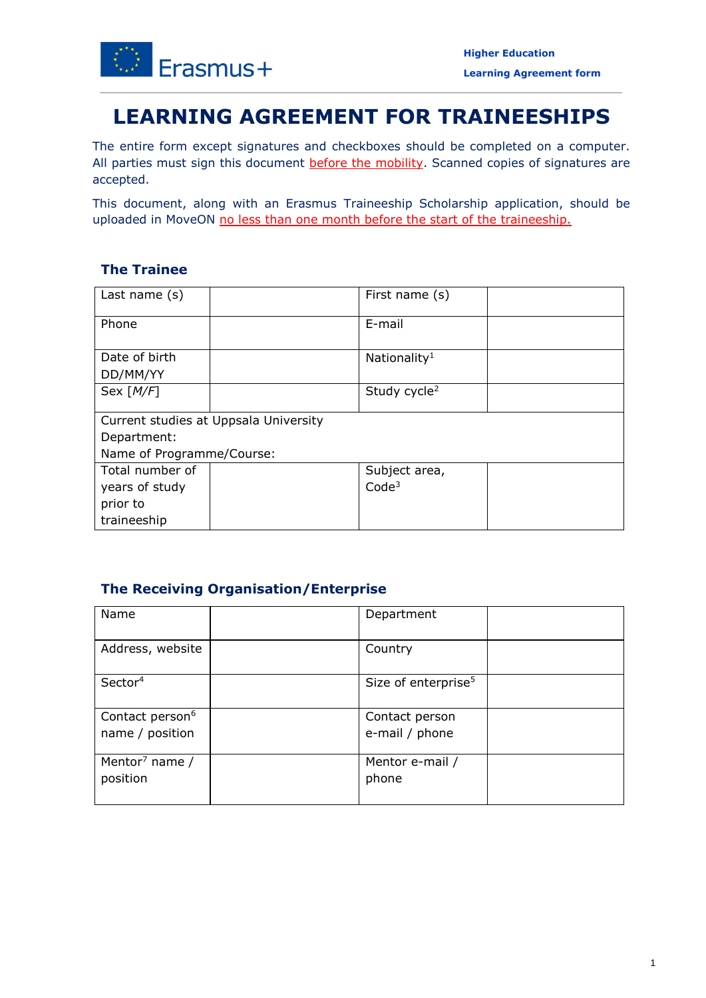

# **LEARNING AGREEMENT FOR TRAINEESHIPS**

 The entire form except signatures and checkboxes should be completed on a computer. All parties must sign this document **before the mobility**. Scanned copies of signatures are accepted.

 This document, along with an Erasmus Traineeship Scholarship application, should be uploaded in MoveON no less than one month before the start of the traineeship.

## **The Trainee**

| Last name $(s)$                       |  | First name (s)           |  |  |  |
|---------------------------------------|--|--------------------------|--|--|--|
| Phone                                 |  | E-mail                   |  |  |  |
| Date of birth                         |  | Nationality <sup>1</sup> |  |  |  |
| DD/MM/YY                              |  |                          |  |  |  |
| Sex $[M/F]$                           |  | Study cycle <sup>2</sup> |  |  |  |
| Current studies at Uppsala University |  |                          |  |  |  |
| Department:                           |  |                          |  |  |  |
| Name of Programme/Course:             |  |                          |  |  |  |
| Total number of                       |  | Subject area,            |  |  |  |
| years of study                        |  | Code <sup>3</sup>        |  |  |  |
| prior to                              |  |                          |  |  |  |
| traineeship                           |  |                          |  |  |  |

## **The Receiving Organisation/Enterprise**

| Name                        | Department                      |  |
|-----------------------------|---------------------------------|--|
|                             |                                 |  |
|                             |                                 |  |
| Address, website            | Country                         |  |
|                             |                                 |  |
|                             |                                 |  |
| Sector <sup>4</sup>         | Size of enterprise <sup>5</sup> |  |
|                             |                                 |  |
|                             |                                 |  |
| Contact person <sup>6</sup> | Contact person                  |  |
|                             |                                 |  |
| name / position             | e-mail / phone                  |  |
|                             |                                 |  |
| Mentor <sup>7</sup> name /  | Mentor e-mail /                 |  |
|                             |                                 |  |
| position                    | phone                           |  |
|                             |                                 |  |
|                             |                                 |  |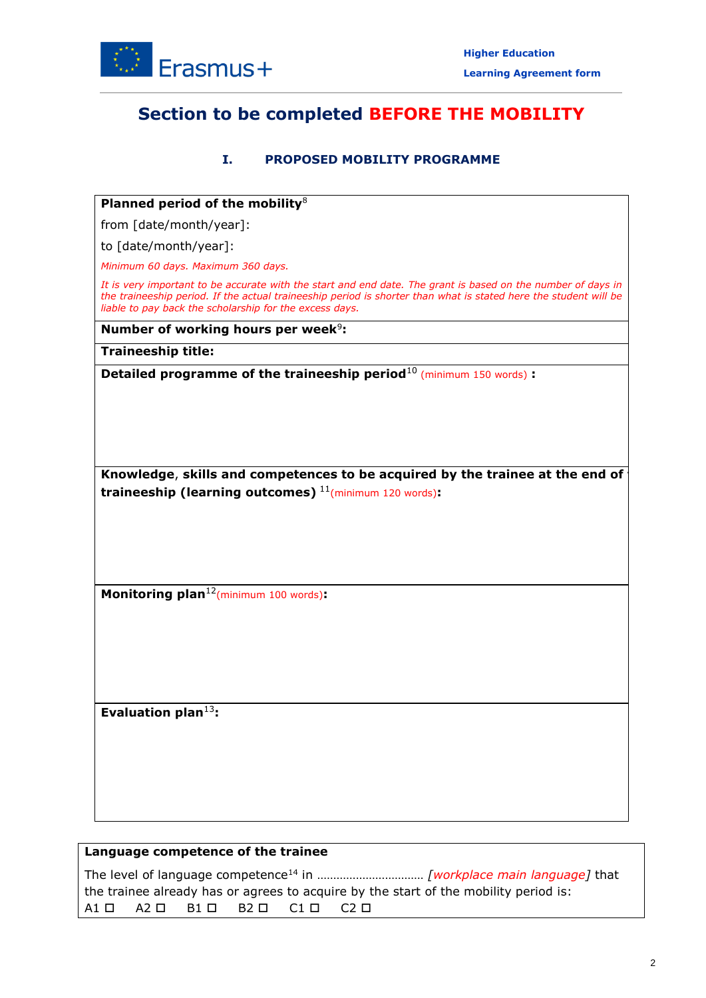

## **Section to be completed BEFORE THE MOBILITY**

#### **I. PROPOSED MOBILITY PROGRAMME**

#### **Planned period of the mobility**<sup>8</sup>

from [date/month/year]:

to [date/month/year]:

 *Minimum 60 days. Maximum 360 days.* 

 *It is very important to be accurate with the start and end date. The grant is based on the number of days in the traineeship period. If the actual traineeship period is shorter than what is stated here the student will be liable to pay back the scholarship for the excess days.* 

**Number of working hours per week<sup>9</sup>:** 

**Traineeship title:** 

**Detailed programme of the traineeship period**<sup>10</sup> (minimum 150 words) **:** 

 **Knowledge**, **skills and competences to be acquired by the trainee at the end of traineeship (learning outcomes)** 11(minimum 120 words)**:** 

**Monitoring plan**12(minimum 100 words)**:** 

**Evaluation plan**<sup>13</sup>**:** 

#### **Language competence of the trainee**

 A1 A2 B1 B2 C1 C2 The level of language competence14 in …………………………… *[workplace main language]* that the trainee already has or agrees to acquire by the start of the mobility period is:

**t**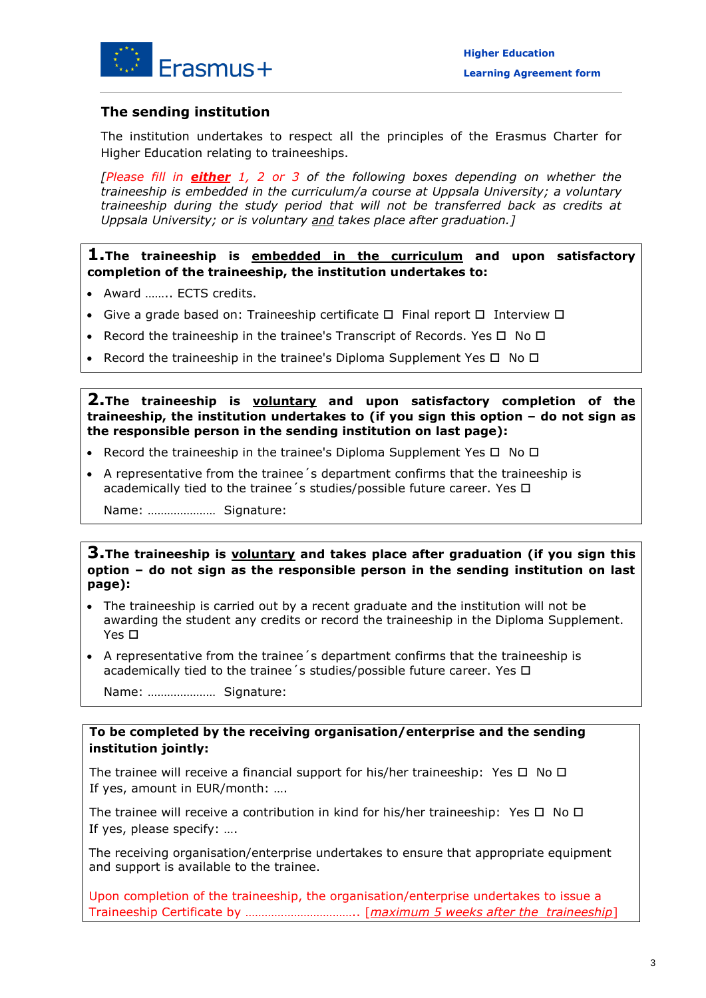

### **The sending institution**

 The institution undertakes to respect all the principles of the Erasmus Charter for Higher Education relating to traineeships.

 *[Please fill in either 1, 2 or 3 of the following boxes depending on whether the traineeship is embedded in the curriculum/a course at Uppsala University; a voluntary traineeship during the study period that will not be transferred back as credits at Uppsala University; or is voluntary and takes place after graduation.]* 

**1.The traineeship is embedded in the curriculum and upon satisfactory completion of the traineeship, the institution undertakes to:** 

- Award …….. ECTS credits.
- Give a grade based on: Traineeship certificate  $\Box$  Final report  $\Box$  Interview  $\Box$
- Record the traineeship in the trainee's Transcript of Records. Yes  $\Box$  No  $\Box$
- Record the traineeship in the trainee's Diploma Supplement Yes  $\Box$  No  $\Box$

### **2.The traineeship is voluntary and upon satisfactory completion of the traineeship, the institution undertakes to (if you sign this option – do not sign as the responsible person in the sending institution on last page):**

- Record the traineeship in the trainee's Diploma Supplement Yes  $\Box$  No  $\Box$
- academically tied to the trainee's studies/possible future career. Yes □ A representative from the trainee´s department confirms that the traineeship is

Name: ………………… Signature:

### **3.The traineeship is voluntary and takes place after graduation (if you sign this option – do not sign as the responsible person in the sending institution on last page):**

- Yes □ The traineeship is carried out by a recent graduate and the institution will not be awarding the student any credits or record the traineeship in the Diploma Supplement.
- academically tied to the trainee's studies/possible future career. Yes □ A representative from the trainee´s department confirms that the traineeship is

Name: ………………… Signature:

#### **To be completed by the receiving organisation/enterprise and the sending institution jointly:**

The trainee will receive a financial support for his/her traineeship: Yes  $\Box$  No  $\Box$ If yes, amount in EUR/month: ….

The trainee will receive a contribution in kind for his/her traineeship: Yes  $\Box$  No  $\Box$ If yes, please specify: ….

The receiving organisation/enterprise undertakes to ensure that appropriate equipment and support is available to the trainee.

 Traineeship Certificate by …………………………….. [*maximum 5 weeks after the traineeship*] Upon completion of the traineeship, the organisation/enterprise undertakes to issue a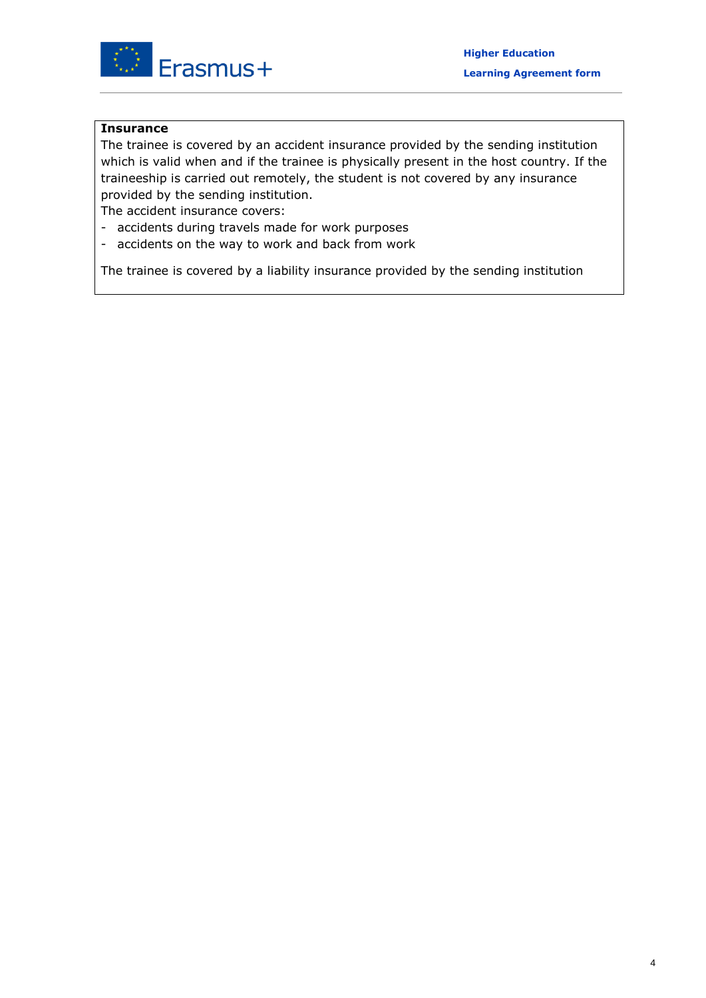

#### **Insurance**

 which is valid when and if the trainee is physically present in the host country. If the The trainee is covered by an accident insurance provided by the sending institution traineeship is carried out remotely, the student is not covered by any insurance provided by the sending institution.

The accident insurance covers:

- accidents during travels made for work purposes
- accidents on the way to work and back from work

The trainee is covered by a liability insurance provided by the sending institution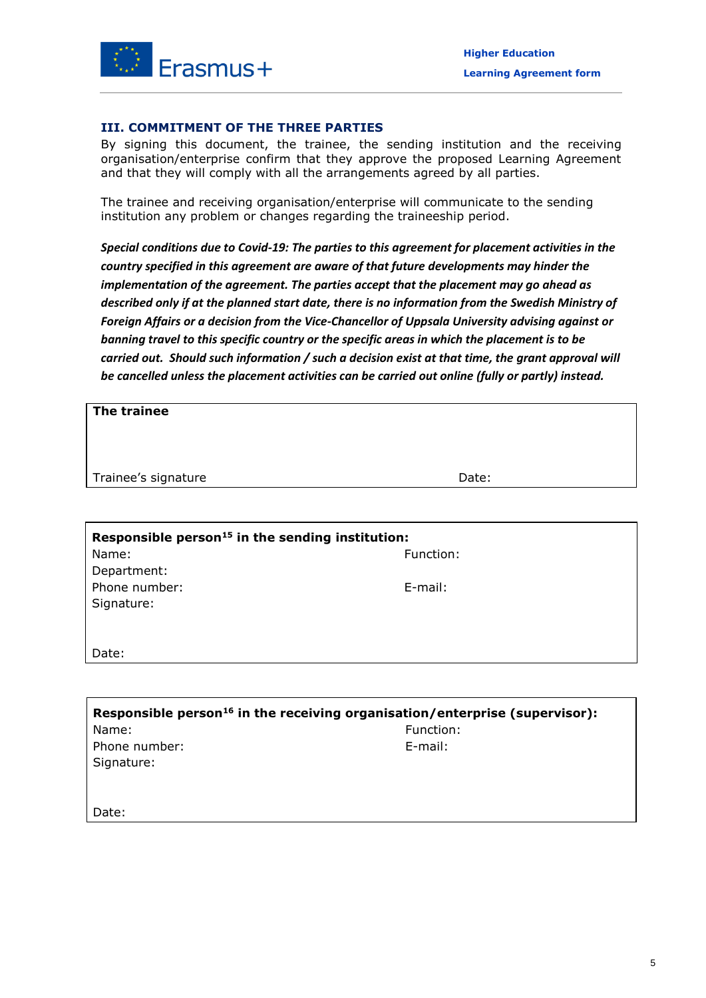

#### **III. COMMITMENT OF THE THREE PARTIES**

 By signing this document, the trainee, the sending institution and the receiving organisation/enterprise confirm that they approve the proposed Learning Agreement and that they will comply with all the arrangements agreed by all parties.

The trainee and receiving organisation/enterprise will communicate to the sending institution any problem or changes regarding the traineeship period.

 *Special conditions due to Covid-19: The parties to this agreement for placement activities in the Foreign Affairs or a decision from the Vice-Chancellor of Uppsala University advising against or country specified in this agreement are aware of that future developments may hinder the implementation of the agreement. The parties accept that the placement may go ahead as described only if at the planned start date, there is no information from the Swedish Ministry of banning travel to this specific country or the specific areas in which the placement is to be carried out. Should such information / such a decision exist at that time, the grant approval will be cancelled unless the placement activities can be carried out online (fully or partly) instead.* 

| The trainee                                                  |           |  |  |  |
|--------------------------------------------------------------|-----------|--|--|--|
| Trainee's signature                                          | Date:     |  |  |  |
|                                                              |           |  |  |  |
| Responsible person <sup>15</sup> in the sending institution: |           |  |  |  |
| Name:                                                        | Function: |  |  |  |
| Department:                                                  |           |  |  |  |
| Phone number:                                                | E-mail:   |  |  |  |
| Signature:                                                   |           |  |  |  |
|                                                              |           |  |  |  |
| Date:                                                        |           |  |  |  |
|                                                              |           |  |  |  |

| Responsible person <sup>16</sup> in the receiving organisation/enterprise (supervisor): |            |  |  |  |
|-----------------------------------------------------------------------------------------|------------|--|--|--|
| Name:                                                                                   | Function:  |  |  |  |
| Phone number:                                                                           | $E$ -mail: |  |  |  |
| Signature:                                                                              |            |  |  |  |
|                                                                                         |            |  |  |  |
|                                                                                         |            |  |  |  |
| Date:                                                                                   |            |  |  |  |
|                                                                                         |            |  |  |  |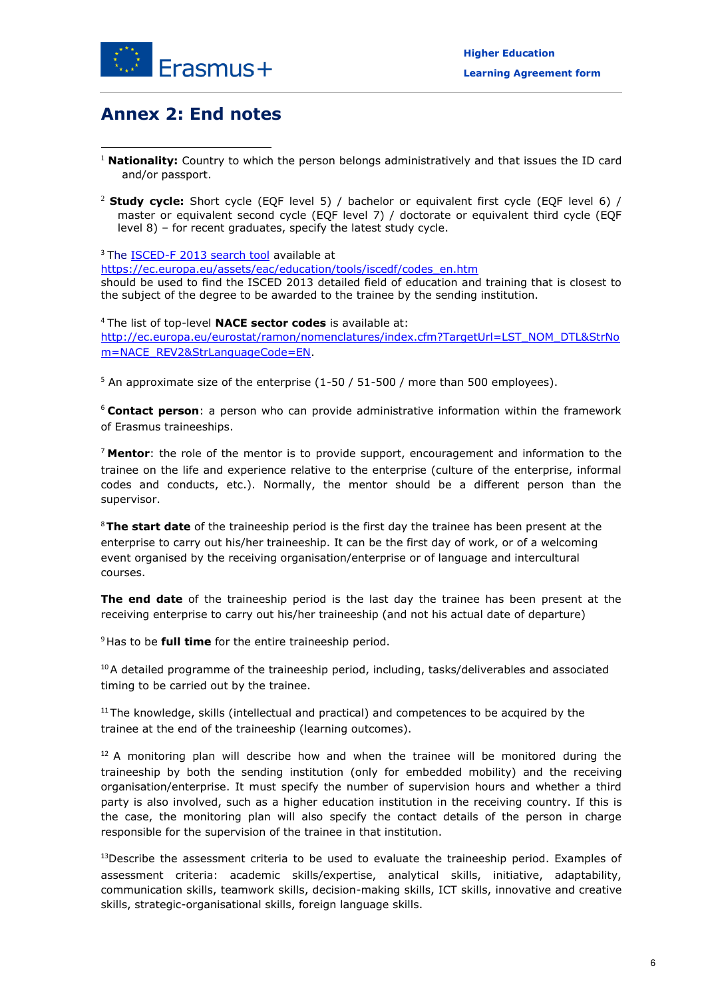

## **Annex 2: End notes**

- **.** <sup>1</sup> Nationality: Country to which the person belongs administratively and that issues the ID card and/or passport.
- <sup>2</sup>**Study cycle:** Short cycle (EQF level 5) / bachelor or equivalent first cycle (EQF level 6) / master or equivalent second cycle (EQF level 7) / doctorate or equivalent third cycle (EQF level 8) – for recent graduates, specify the latest study cycle.

<sup>3</sup> The **ISCED-F 2013 search tool** available at should be used to find the ISCED 2013 detailed field of education and training that is closest to the subject of the degree to be awarded to the trainee by the sending institution. [https://ec.europa.eu/assets/eac/education/tools/iscedf/codes\\_en.htm](https://ec.europa.eu/assets/eac/education/tools/iscedf/codes_en.htm) 

 <sup>4</sup>The list of top-level **NACE sector codes** is available at: [http://ec.europa.eu/eurostat/ramon/nomenclatures/index.cfm?TargetUrl=LST\\_NOM\\_DTL&StrNo](http://ec.europa.eu/eurostat/ramon/nomenclatures/index.cfm?TargetUrl=LST_NOM_DTL&StrNom=NACE_REV2&StrLanguageCode=EN)  [m=NACE\\_REV2&StrLanguageCode=EN.](http://ec.europa.eu/eurostat/ramon/nomenclatures/index.cfm?TargetUrl=LST_NOM_DTL&StrNom=NACE_REV2&StrLanguageCode=EN)

<sup>5</sup> An approximate size of the enterprise  $(1-50/51-500/$  more than 500 employees).

 <sup>6</sup>**Contact person**: a person who can provide administrative information within the framework of Erasmus traineeships.

 <sup>7</sup>**Mentor**: the role of the mentor is to provide support, encouragement and information to the trainee on the life and experience relative to the enterprise (culture of the enterprise, informal codes and conducts, etc.). Normally, the mentor should be a different person than the supervisor.

 <sup>8</sup>**The start date** of the traineeship period is the first day the trainee has been present at the enterprise to carry out his/her traineeship. It can be the first day of work, or of a welcoming event organised by the receiving organisation/enterprise or of language and intercultural courses.

 **The end date** of the traineeship period is the last day the trainee has been present at the receiving enterprise to carry out his/her traineeship (and not his actual date of departure)

<sup>9</sup>Has to be **full time** for the entire traineeship period.

 $10A$  detailed programme of the traineeship period, including, tasks/deliverables and associated timing to be carried out by the trainee.

 $11$ The knowledge, skills (intellectual and practical) and competences to be acquired by the trainee at the end of the traineeship (learning outcomes).

 $12$  A monitoring plan will describe how and when the trainee will be monitored during the traineeship by both the sending institution (only for embedded mobility) and the receiving organisation/enterprise. It must specify the number of supervision hours and whether a third party is also involved, such as a higher education institution in the receiving country. If this is the case, the monitoring plan will also specify the contact details of the person in charge responsible for the supervision of the trainee in that institution.

 $13$ Describe the assessment criteria to be used to evaluate the traineeship period. Examples of assessment criteria: academic skills/expertise, analytical skills, initiative, adaptability, communication skills, teamwork skills, decision-making skills, ICT skills, innovative and creative skills, strategic-organisational skills, foreign language skills.